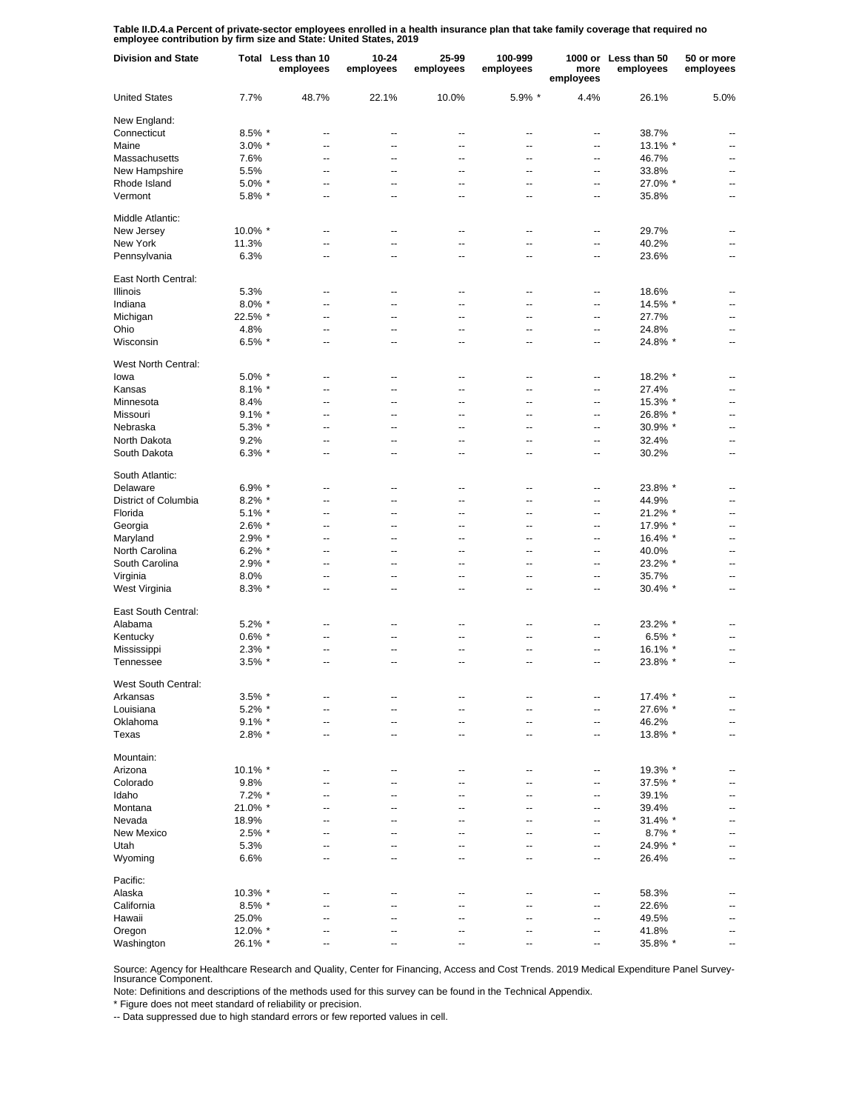**Table II.D.4.a Percent of private-sector employees enrolled in a health insurance plan that take family coverage that required no employee contribution by firm size and State: United States, 2019**

| <b>Division and State</b> |           | Total Less than 10<br>employees | 10-24<br>employees | 25-99<br>employees       | 100-999<br>employees     | more<br>employees        | 1000 or Less than 50<br>employees | 50 or more<br>employees  |
|---------------------------|-----------|---------------------------------|--------------------|--------------------------|--------------------------|--------------------------|-----------------------------------|--------------------------|
| <b>United States</b>      | 7.7%      | 48.7%                           | 22.1%              | 10.0%                    | 5.9% *                   | 4.4%                     | 26.1%                             | 5.0%                     |
| New England:              |           |                                 |                    |                          |                          |                          |                                   |                          |
| Connecticut               | 8.5% *    | --                              | --                 | --                       | $\overline{\phantom{a}}$ | --                       | 38.7%                             |                          |
| Maine                     | $3.0\%$ * | $\overline{a}$                  | $\overline{a}$     | $\overline{a}$           | $\overline{\phantom{a}}$ | $\overline{a}$           | 13.1% *                           | $\overline{\phantom{a}}$ |
| Massachusetts             | 7.6%      | --                              | --                 | $\overline{a}$           | $\overline{\phantom{a}}$ | $\overline{a}$           | 46.7%                             | $\overline{a}$           |
| New Hampshire             | 5.5%      | --                              | $\overline{a}$     | $\overline{a}$           | $\overline{\phantom{a}}$ | $\overline{\phantom{a}}$ | 33.8%                             | $\overline{\phantom{a}}$ |
| Rhode Island              | $5.0\%$ * | $\overline{a}$                  | $\overline{a}$     | $\overline{a}$           | $\overline{a}$           | $\overline{\phantom{a}}$ | 27.0% *                           | $\overline{\phantom{a}}$ |
| Vermont                   | 5.8% *    | --                              | $\overline{a}$     | $\overline{\phantom{a}}$ | $\overline{\phantom{a}}$ | $\overline{\phantom{a}}$ | 35.8%                             | $\overline{a}$           |
| Middle Atlantic:          |           |                                 |                    |                          |                          |                          |                                   |                          |
| New Jersey                | 10.0% *   | --                              | $\overline{a}$     | --                       | --                       | --                       | 29.7%                             |                          |
| New York                  | 11.3%     | Ξ.                              | --                 | $\overline{a}$           | $\overline{a}$           | --                       | 40.2%                             |                          |
| Pennsylvania              | 6.3%      | --                              | --                 | $\overline{a}$           | $\overline{a}$           | $\overline{a}$           | 23.6%                             | --                       |
| East North Central:       |           |                                 |                    |                          |                          |                          |                                   |                          |
| <b>Illinois</b>           | 5.3%      | --                              | --                 | ٠.                       | --                       | --                       | 18.6%                             |                          |
| Indiana                   | $8.0\%$ * | --                              | --                 | --                       | $\overline{a}$           | --                       | 14.5% *                           |                          |
| Michigan                  | 22.5% *   | --                              | --                 | --                       | --                       | --                       | 27.7%                             |                          |
| Ohio                      | 4.8%      | --                              | --                 | --                       | $\overline{\phantom{a}}$ | --                       | 24.8%                             | --                       |
| Wisconsin                 | $6.5\%$ * | --                              | --                 | ٠.                       | --                       | --                       | 24.8% *                           |                          |
| West North Central:       |           |                                 |                    |                          |                          |                          |                                   |                          |
| lowa                      | 5.0% *    | --                              | --                 | $\overline{\phantom{a}}$ | $\overline{\phantom{a}}$ | $\overline{a}$           | 18.2% *                           | $\overline{\phantom{a}}$ |
| Kansas                    | $8.1\%$ * | --                              | $\overline{a}$     | $\overline{a}$           | $\overline{\phantom{a}}$ | $\overline{a}$           | 27.4%                             | $\overline{\phantom{a}}$ |
| Minnesota                 | 8.4%      | $\overline{a}$                  | $\overline{a}$     | $\overline{a}$           | $\overline{a}$           | $\overline{a}$           | 15.3% *                           | $\overline{a}$           |
| Missouri                  | $9.1\%$ * | --                              | $\overline{a}$     | $\overline{a}$           | $\overline{\phantom{a}}$ | $\overline{\phantom{a}}$ | 26.8% *                           | $\overline{a}$           |
| Nebraska                  | $5.3\%$ * | --                              | --                 | $\overline{\phantom{a}}$ | $\overline{\phantom{a}}$ | $\overline{a}$           | 30.9% *                           | $\overline{\phantom{a}}$ |
| North Dakota              | 9.2%      | --                              | --                 | $\overline{\phantom{a}}$ | $\overline{\phantom{a}}$ | $\overline{\phantom{a}}$ | 32.4%                             | $\overline{\phantom{a}}$ |
| South Dakota              | $6.3\%$ * | --                              | --                 | --                       | $\overline{\phantom{a}}$ | $\overline{a}$           | 30.2%                             | $\overline{\phantom{a}}$ |
| South Atlantic:           |           |                                 |                    |                          |                          |                          |                                   |                          |
| Delaware                  | $6.9\%$ * | $\overline{a}$                  | --                 | --                       | --                       | --                       | 23.8% *                           |                          |
| District of Columbia      | $8.2\%$ * | $\overline{a}$                  | --                 | $\overline{a}$           | $\overline{a}$           | --                       | 44.9%                             |                          |
| Florida                   | $5.1\%$ * | $\overline{a}$                  | --                 | $\overline{a}$           | --                       | --                       | 21.2% *                           | --                       |
| Georgia                   | $2.6\%$ * | $\overline{a}$                  | --                 | $\overline{a}$           | $\overline{a}$           | --                       | 17.9% *                           | --                       |
| Maryland                  | $2.9\%$ * | $\overline{a}$                  | $\overline{a}$     | ٠.                       | $\overline{a}$           | --                       | 16.4% *                           | $\overline{a}$           |
|                           |           | $\overline{a}$                  | $\overline{a}$     | $\overline{a}$           | $\overline{a}$           | $\overline{a}$           |                                   | $\overline{a}$           |
| North Carolina            | $6.2\%$ * | $\overline{a}$                  | --                 | $\overline{a}$           | $\overline{a}$           |                          | 40.0%                             | $\overline{a}$           |
| South Carolina            | $2.9\%$ * |                                 |                    |                          |                          | --                       | 23.2% *                           |                          |
| Virginia                  | 8.0%      | $\overline{a}$                  | $\overline{a}$     | $\overline{a}$           | $\overline{a}$           | $\overline{a}$           | 35.7%                             | $\overline{a}$           |
| West Virginia             | $8.3\%$ * | $\overline{a}$                  | $\overline{a}$     | $\overline{a}$           | $\overline{a}$           | $\overline{a}$           | 30.4% *                           | $\overline{a}$           |
| East South Central:       |           |                                 |                    |                          |                          |                          |                                   |                          |
| Alabama                   | $5.2\%$ * | --                              | --                 | ٠.                       | --                       | --                       | 23.2% *                           |                          |
| Kentucky                  | $0.6\%$ * | --                              | --                 | ٠.                       | --                       | --                       | $6.5\%$ *                         |                          |
| Mississippi               | $2.3\%$ * | --                              | --                 | ٠.                       | --                       | --                       | 16.1% *                           |                          |
| Tennessee                 | $3.5\%$ * | --                              | --                 | ٠.                       | --                       | --                       | 23.8% *                           |                          |
| West South Central:       |           |                                 |                    |                          |                          |                          |                                   |                          |
| Arkansas                  | $3.5\%$ * | --                              | --                 | --                       | --                       | --                       | 17.4% *                           | --                       |
| Louisiana                 | $5.2\%$ * | --                              | --                 | $\overline{\phantom{a}}$ | $\overline{\phantom{a}}$ | $\overline{\phantom{a}}$ | 27.6% *                           | $\overline{\phantom{a}}$ |
| Oklahoma                  | $9.1\%$ * | --                              | --                 | $\overline{\phantom{a}}$ | $\overline{\phantom{a}}$ | --                       | 46.2%                             | $\overline{\phantom{a}}$ |
| Texas                     | $2.8\%$ * | --                              | --                 | $\overline{\phantom{a}}$ | $\overline{\phantom{a}}$ | $\overline{\phantom{a}}$ | 13.8% *                           | $\overline{\phantom{a}}$ |
| Mountain:                 |           |                                 |                    |                          |                          |                          |                                   |                          |
| Arizona                   | 10.1% *   | --                              | --                 | --                       | $\overline{\phantom{a}}$ | --                       | 19.3% *                           |                          |
| Colorado                  | 9.8%      | $\overline{a}$                  | --                 | ٠.                       | --                       | --                       | 37.5% *                           | --                       |
| Idaho                     | $7.2\%$ * | $\overline{a}$                  | --                 | ٠.                       | --                       | --                       | 39.1%                             |                          |
| Montana                   | 21.0% *   | $\overline{a}$                  | --                 | $\overline{a}$           | $\overline{a}$           | --                       | 39.4%                             | --                       |
| Nevada                    | 18.9%     | Ξ.                              | --                 | $\overline{a}$           | $\overline{a}$           | --                       | 31.4% *                           |                          |
|                           |           |                                 |                    |                          |                          |                          |                                   |                          |
| New Mexico                | 2.5% *    | Ξ.                              | --                 | $\overline{a}$           | $\overline{a}$           | --                       | $8.7\%$ *                         | --                       |
| Utah                      | 5.3%      | Ξ.                              | --                 | $\overline{a}$           | $\overline{a}$           | --                       | 24.9% *                           | --                       |
| Wyoming                   | 6.6%      | Ξ.                              | --                 | $\overline{a}$           | $\overline{a}$           | --                       | 26.4%                             | $\overline{a}$           |
| Pacific:                  |           |                                 |                    |                          |                          |                          |                                   |                          |
| Alaska                    | 10.3% *   | --                              | --                 | --                       | --                       | ۰.                       | 58.3%                             | --                       |
| California                | 8.5% *    | --                              |                    | --                       | --                       | --                       | 22.6%                             |                          |
| Hawaii                    | 25.0%     | --                              | --                 | ٠.                       | --                       | ۰.                       | 49.5%                             | --                       |
| Oregon                    | 12.0% *   | --                              | --                 | --                       | --                       | --                       | 41.8%                             |                          |
| Washington                | 26.1% *   | --                              | --                 | --                       | --                       | ⊷                        | 35.8% *                           | --                       |

Source: Agency for Healthcare Research and Quality, Center for Financing, Access and Cost Trends. 2019 Medical Expenditure Panel Survey-Insurance Component.

Note: Definitions and descriptions of the methods used for this survey can be found in the Technical Appendix.

\* Figure does not meet standard of reliability or precision.

-- Data suppressed due to high standard errors or few reported values in cell.